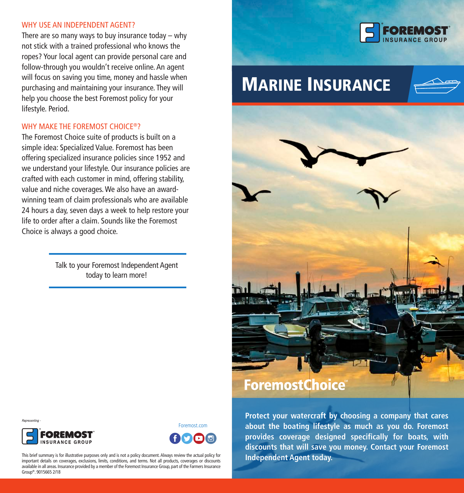#### WHY USE AN INDEPENDENT AGENT?

There are so many ways to buy insurance today  $-$  why not stick with a trained professional who knows the ropes? Your local agent can provide personal care and follow-through you wouldn't receive online. An agent will focus on saving you time, money and hassle when purchasing and maintaining your insurance. They will help you choose the best Foremost policy for your lifestyle. Period.

# WHY MAKE THE FOREMOST CHOICE®?

The Foremost Choice suite of products is built on a simple idea: Specialized Value. Foremost has been offering specialized insurance policies since 1952 and we understand your lifestyle. Our insurance policies are crafted with each customer in mind, offering stability, value and niche coverages. We also have an awardwinning team of claim professionals who are available 24 hours a day, seven days a week to help restore your life to order after a claim. Sounds like the Foremost Choice is always a good choice.

> Talk to your Foremost Independent Agent today to learn more!



# MARINE INSURANCE





Representing



Foremost.com



**Protect your watercraft by choosing a company that cares about the boating lifestyle as much as you do. Foremost provides coverage designed specifically for boats, with discounts that will save you money. Contact your Foremost Independent Agent today.**